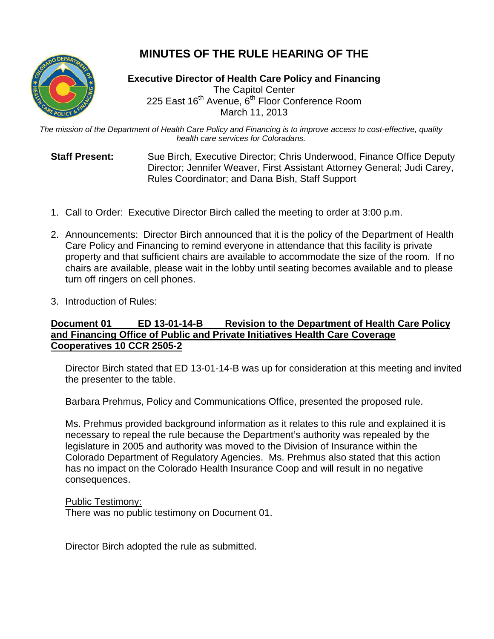# **MINUTES OF THE RULE HEARING OF THE**



**Executive Director of Health Care Policy and Financing** The Capitol Center 225 East 16<sup>th</sup> Avenue, 6<sup>th</sup> Floor Conference Room March 11, 2013

*The mission of the Department of Health Care Policy and Financing is to improve access to cost-effective, quality health care services for Coloradans.*

**Staff Present:** Sue Birch, Executive Director; Chris Underwood, Finance Office Deputy Director; Jennifer Weaver, First Assistant Attorney General; Judi Carey, Rules Coordinator; and Dana Bish, Staff Support

- 1. Call to Order: Executive Director Birch called the meeting to order at 3:00 p.m.
- 2. Announcements: Director Birch announced that it is the policy of the Department of Health Care Policy and Financing to remind everyone in attendance that this facility is private property and that sufficient chairs are available to accommodate the size of the room. If no chairs are available, please wait in the lobby until seating becomes available and to please turn off ringers on cell phones.
- 3. Introduction of Rules:

## **Document 01 ED 13-01-14-B Revision to the Department of Health Care Policy and Financing Office of Public and Private Initiatives Health Care Coverage Cooperatives 10 CCR 2505-2**

Director Birch stated that ED 13-01-14-B was up for consideration at this meeting and invited the presenter to the table.

Barbara Prehmus, Policy and Communications Office, presented the proposed rule.

Ms. Prehmus provided background information as it relates to this rule and explained it is necessary to repeal the rule because the Department's authority was repealed by the legislature in 2005 and authority was moved to the Division of Insurance within the Colorado Department of Regulatory Agencies. Ms. Prehmus also stated that this action has no impact on the Colorado Health Insurance Coop and will result in no negative consequences.

#### Public Testimony:

There was no public testimony on Document 01.

Director Birch adopted the rule as submitted.